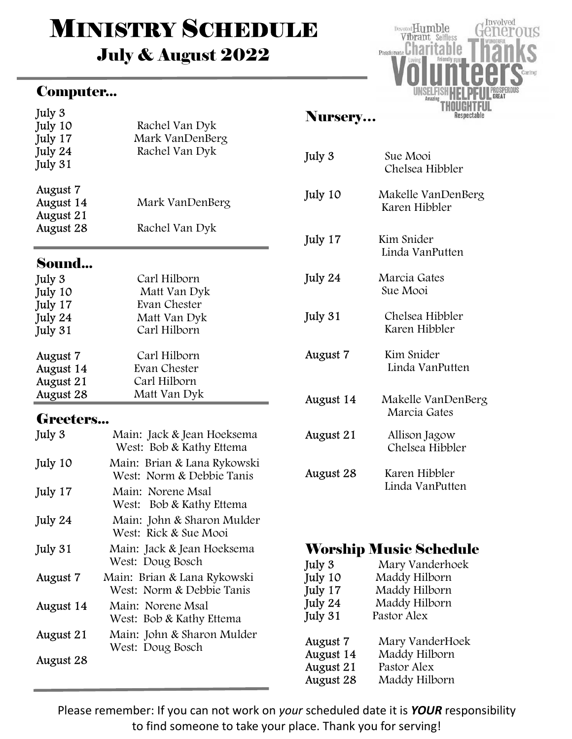# **MINISTRY SCHEDULE** July & August 2022

#### Computer...



#### Sound...

| July 3    | Carl Hilborn |
|-----------|--------------|
| July 10   | Matt Van Dyk |
| July 17   | Evan Chester |
| July 24   | Matt Van Dyk |
| July 31   | Carl Hilborn |
| August 7  | Carl Hilborn |
| August 14 | Evan Chester |
| August 21 | Carl Hilborn |
| August 28 | Matt Van Dyk |

#### Greeters...

| July 3    | Main: Jack & Jean Hoeksema<br>West: Bob & Kathy Ettema   |
|-----------|----------------------------------------------------------|
| July 10   | Main: Brian & Lana Rykowski<br>West: Norm & Debbie Tanis |
| July 17   | Main: Norene Msal<br>West: Bob & Kathy Ettema            |
| July 24   | Main: John & Sharon Mulder<br>West: Rick & Sue Mooi      |
| July 31   | Main: Jack & Jean Hoeksema<br>West: Doug Bosch           |
| August 7  | Main: Brian & Lana Rykowski<br>West: Norm & Debbie Tanis |
| August 14 | Main: Norene Msal<br>West: Bob & Kathy Ettema            |
| August 21 | Main: John & Sharon Mulder<br>West: Doug Bosch           |
| August 28 |                                                          |

### Nursery…

| July 3    | Sue Mooi<br>Chelsea Hibbler         |
|-----------|-------------------------------------|
| July 10   | Makelle VanDenBerg<br>Karen Hibbler |
| July 17   | Kim Snider<br>Linda VanPutten       |
| July 24   | Marcia Gates<br>Sue Mooi            |
| July 31   | Chelsea Hibbler<br>Karen Hibbler    |
| August 7  | Kim Snider<br>Linda VanPutten       |
| August 14 | Makelle VanDenBerg<br>Marcia Gates  |
| August 21 | Allison Jagow<br>Chelsea Hibbler    |
| August 28 | Karen Hibbler<br>Linda VanPutten    |

#### Worship Music Schedule

| July 3    | Mary Vanderhoek |
|-----------|-----------------|
| July 10   | Maddy Hilborn   |
| July 17   | Maddy Hilborn   |
| July 24   | Maddy Hilborn   |
| July 31   | Pastor Alex     |
| August 7  | Mary VanderHoek |
| August 14 | Maddy Hilborn   |
| August 21 | Pastor Alex     |
| August 28 | Maddy Hilborn   |

Please remember: If you can not work on your scheduled date it is YOUR responsibility to find someone to take your place. Thank you for serving!